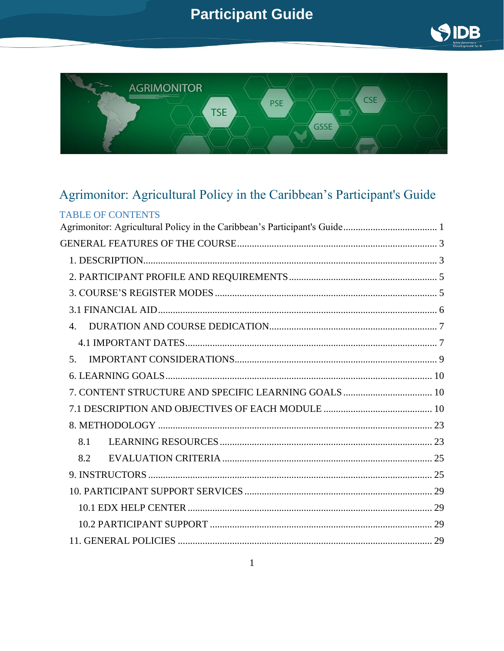



## <span id="page-0-0"></span>Agrimonitor: Agricultural Policy in the Caribbean's Participant's Guide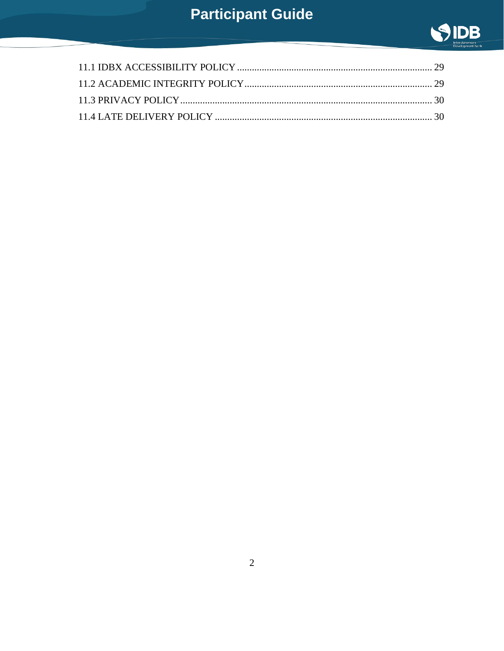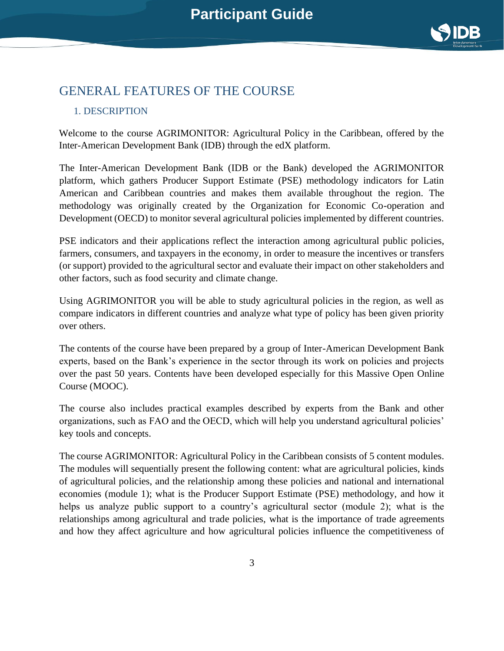

### <span id="page-2-0"></span>GENERAL FEATURES OF THE COURSE

#### <span id="page-2-1"></span>1. DESCRIPTION

Welcome to the course AGRIMONITOR: Agricultural Policy in the Caribbean, offered by the Inter-American Development Bank (IDB) through the edX platform.

The Inter-American Development Bank (IDB or the Bank) developed the AGRIMONITOR platform, which gathers Producer Support Estimate (PSE) methodology indicators for Latin American and Caribbean countries and makes them available throughout the region. The methodology was originally created by the Organization for Economic Co-operation and Development (OECD) to monitor several agricultural policies implemented by different countries.

PSE indicators and their applications reflect the interaction among agricultural public policies, farmers, consumers, and taxpayers in the economy, in order to measure the incentives or transfers (or support) provided to the agricultural sector and evaluate their impact on other stakeholders and other factors, such as food security and climate change.

Using AGRIMONITOR you will be able to study agricultural policies in the region, as well as compare indicators in different countries and analyze what type of policy has been given priority over others.

The contents of the course have been prepared by a group of Inter-American Development Bank experts, based on the Bank's experience in the sector through its work on policies and projects over the past 50 years. Contents have been developed especially for this Massive Open Online Course (MOOC).

The course also includes practical examples described by experts from the Bank and other organizations, such as FAO and the OECD, which will help you understand agricultural policies' key tools and concepts.

The course AGRIMONITOR: Agricultural Policy in the Caribbean consists of 5 content modules. The modules will sequentially present the following content: what are agricultural policies, kinds of agricultural policies, and the relationship among these policies and national and international economies (module 1); what is the Producer Support Estimate (PSE) methodology, and how it helps us analyze public support to a country's agricultural sector (module 2); what is the relationships among agricultural and trade policies, what is the importance of trade agreements and how they affect agriculture and how agricultural policies influence the competitiveness of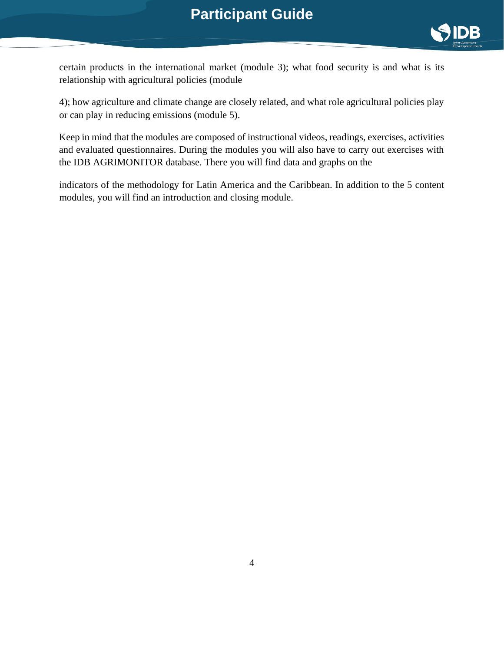

certain products in the international market (module 3); what food security is and what is its relationship with agricultural policies (module

4); how agriculture and climate change are closely related, and what role agricultural policies play or can play in reducing emissions (module 5).

Keep in mind that the modules are composed of instructional videos, readings, exercises, activities and evaluated questionnaires. During the modules you will also have to carry out exercises with the IDB AGRIMONITOR database. There you will find data and graphs on the

indicators of the methodology for Latin America and the Caribbean. In addition to the 5 content modules, you will find an introduction and closing module.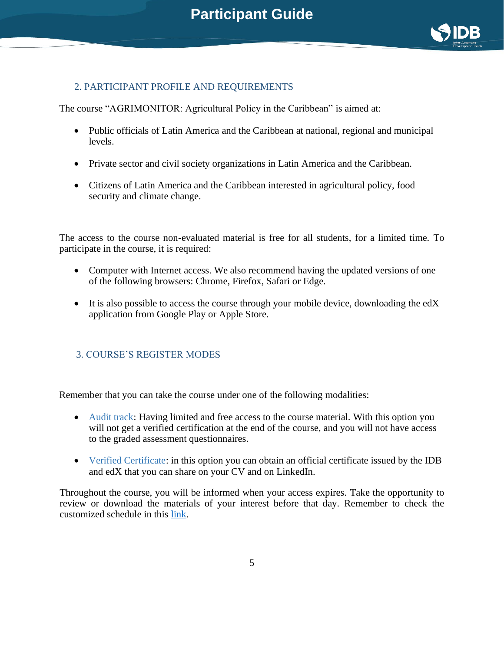

#### <span id="page-4-0"></span>2. PARTICIPANT PROFILE AND REQUIREMENTS

The course "AGRIMONITOR: Agricultural Policy in the Caribbean" is aimed at:

- Public officials of Latin America and the Caribbean at national, regional and municipal levels.
- Private sector and civil society organizations in Latin America and the Caribbean.
- Citizens of Latin America and the Caribbean interested in agricultural policy, food security and climate change.

The access to the course non-evaluated material is free for all students, for a limited time. To participate in the course, it is required:

- Computer with Internet access. We also recommend having the updated versions of one of the following browsers: Chrome, Firefox, Safari or Edge.
- It is also possible to access the course through your mobile device, downloading the edX application from Google Play or Apple Store.

#### <span id="page-4-1"></span>3. COURSE'S REGISTER MODES

Remember that you can take the course under one of the following modalities:

- Audit track: Having limited and free access to the course material. With this option you will not get a verified certification at the end of the course, and you will not have access to the graded assessment questionnaires.
- Verified Certificate: in this option you can obtain an official certificate issued by the IDB and edX that you can share on your CV and on LinkedIn.

Throughout the course, you will be informed when your access expires. Take the opportunity to review or download the materials of your interest before that day. Remember to check the customized schedule in this [link.](https://learning.edx.org/course/course-v1:IDBx+IDB13.1x+3T2021/dates)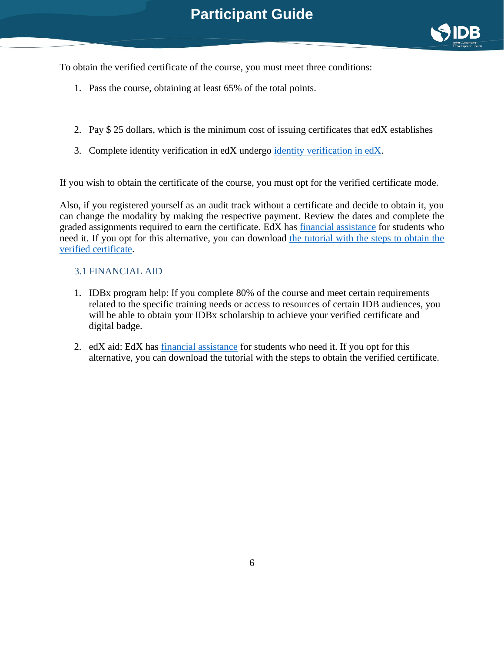

To obtain the verified certificate of the course, you must meet three conditions:

- 1. Pass the course, obtaining at least 65% of the total points.
- 2. Pay \$ 25 dollars, which is the minimum cost of issuing certificates that edX establishes
- 3. Complete identity verification in edX undergo identity [verification in edX.](https://www.edx.org/edx-terms-service?awc=6798_1529442620_0774f59a38cffa6de0fc69dc83994cc6&source=aw&utm_content=text-link&utm_medium=affiliate_partner&utm_source=aw&utm_term=143466_YieldKit+GmbH+-+Content)

If you wish to obtain the certificate of the course, you must opt for the verified certificate mode.

Also, if you registered yourself as an audit track without a certificate and decide to obtain it, you can change the modality by making the respective payment. Review the dates and complete the graded assignments required to earn the certificate. EdX has [financial assistance](https://www.edx.org/edx-terms-service) for students who need it. If you opt for this alternative, you can download [the tutorial with the steps to obtain the](https://www.edx.org/edx-terms-service)  [verified certificate.](https://www.edx.org/edx-terms-service)

#### <span id="page-5-0"></span>3.1 FINANCIAL AID

- 1. IDBx program help: If you complete 80% of the course and meet certain requirements related to the specific training needs or access to resources of certain IDB audiences, you will be able to obtain your IDBx scholarship to achieve your verified certificate and digital badge.
- 2. edX aid: EdX has [financial assistance](https://courses.edx.org/financial-assistance/) for students who need it. If you opt for this alternative, you can download the tutorial with the steps to obtain the verified certificate.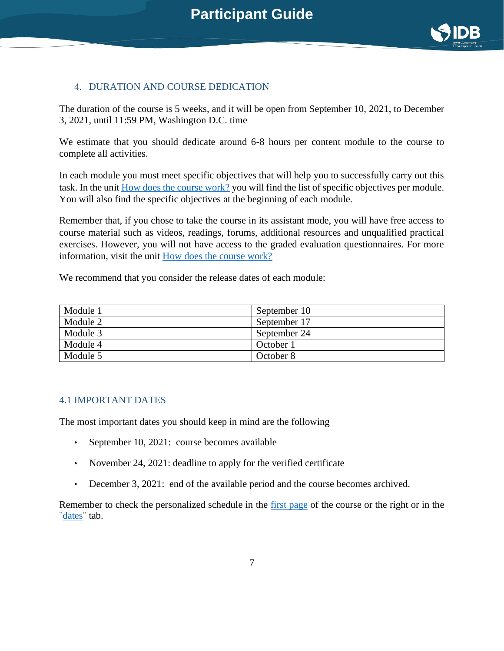

#### <span id="page-6-0"></span>4. DURATION AND COURSE DEDICATION

The duration of the course is 5 weeks, and it will be open from September 10, 2021, to December 3, 2021, until 11:59 PM, Washington D.C. time

We estimate that you should dedicate around 6-8 hours per content module to the course to complete all activities.

In each module you must meet specific objectives that will help you to successfully carry out this task. In the unit [How does the course work?](https://learning.edx.org/course/course-v1:IDBx+IDB13.1x+3T2021/block-v1:IDBx+IDB13.1x+3T2021+type@sequential+block@2575ddba6fe142c2882b18eb14308d61/block-v1:IDBx+IDB13.1x+3T2021+type@vertical+block@0291882b922d45538dcf32ae73030179) you will find the list of specific objectives per module. You will also find the specific objectives at the beginning of each module.

Remember that, if you chose to take the course in its assistant mode, you will have free access to course material such as videos, readings, forums, additional resources and unqualified practical exercises. However, you will not have access to the graded evaluation questionnaires. For more information, visit the unit [How does the course work?](https://learning.edx.org/course/course-v1:IDBx+IDB13.1x+3T2021/block-v1:IDBx+IDB13.1x+3T2021+type@sequential+block@2575ddba6fe142c2882b18eb14308d61/block-v1:IDBx+IDB13.1x+3T2021+type@vertical+block@0291882b922d45538dcf32ae73030179)

We recommend that you consider the release dates of each module:

| Module 1 | September 10 |
|----------|--------------|
| Module 2 | September 17 |
| Module 3 | September 24 |
| Module 4 | October 1    |
| Module 5 | October 8    |

#### <span id="page-6-1"></span>4.1 IMPORTANT DATES

The most important dates you should keep in mind are the following

- September 10, 2021: course becomes available
- November 24, 2021: deadline to apply for the verified certificate
- December 3, 2021: end of the available period and the course becomes archived.

Remember to check the personalized schedule in the [first page](https://learning.edx.org/course/course-v1:IDBx+IDB13.1x+3T2021/dates) of the course or the right or in the [¨dates¨](https://learning.edx.org/course/course-v1:IDBx+IDB13.1x+3T2021/dates) tab.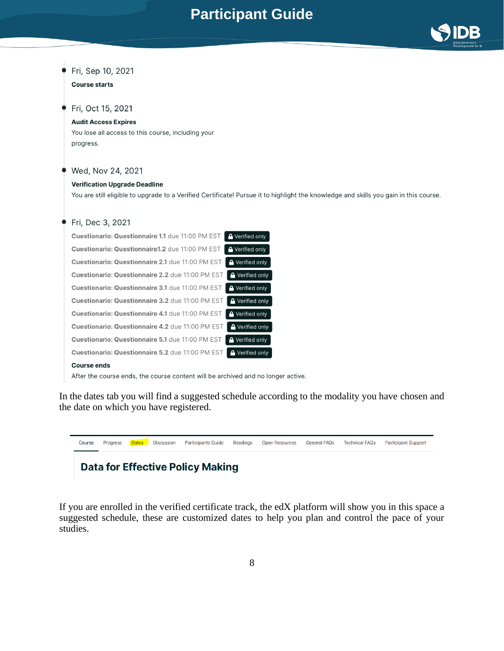

### Fri, Sep 10, 2021

#### **Course starts**

#### Fri, Oct 15, 2021

#### **Audit Access Expires**

You lose all access to this course, including your progress.

#### Wed, Nov 24, 2021

#### **Verification Upgrade Deadline**

You are still eligible to upgrade to a Verified Certificate! Pursue it to highlight the knowledge and skills you gain in this course.

| Fri, Dec 3, 2021                                 |                        |
|--------------------------------------------------|------------------------|
| Cuestionario: Questionnaire 1.1 due 11:00 PM EST | <b>A</b> Verified only |
| Cuestionario: Questionnaire1.2 due 11:00 PM EST  | <b>A</b> Verified only |
| Cuestionario: Questionnaire 2.1 due 11:00 PM EST | <b>A</b> Verified only |
| Cuestionario: Questionnaire 2.2 due 11:00 PM EST | A Verified only        |
| Cuestionario: Questionnaire 3.1 due 11:00 PM EST | <b>A</b> Verified only |
| Cuestionario: Questionnaire 3.2 due 11:00 PM EST | <b>A</b> Verified only |
| Cuestionario: Questionnaire 4.1 due 11:00 PM EST | <b>A</b> Verified only |
| Cuestionario: Questionnaire 4.2 due 11:00 PM EST | <b>A</b> Verified only |
| Cuestionario: Questionnaire 5.1 due 11:00 PM EST | <b>A</b> Verified only |
| Cuestionario: Questionnaire 5.2 due 11:00 PM EST | <b>A</b> Verified only |
| Course ends                                      |                        |

After the course ends, the course content will be archived and no longer active.

In the dates tab you will find a suggested schedule according to the modality you have chosen and the date on which you have registered.



### **Data for Effective Policy Making**

If you are enrolled in the verified certificate track, the edX platform will show you in this space a suggested schedule, these are customized dates to help you plan and control the pace of your studies.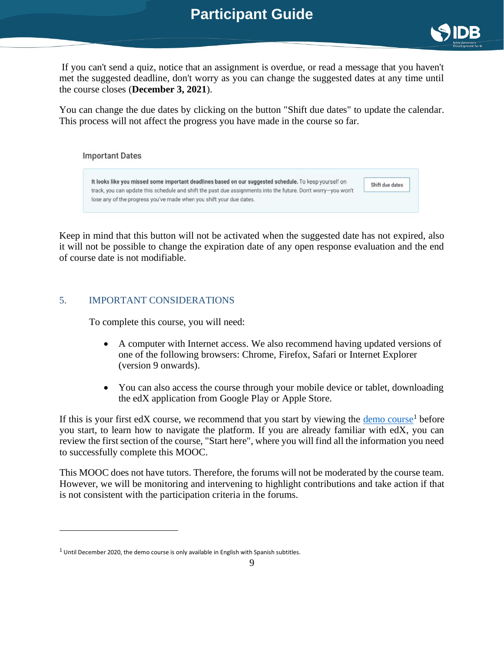

If you can't send a quiz, notice that an assignment is overdue, or read a message that you haven't met the suggested deadline, don't worry as you can change the suggested dates at any time until the course closes (**December 3, 2021**).

You can change the due dates by clicking on the button "Shift due dates" to update the calendar. This process will not affect the progress you have made in the course so far.



Keep in mind that this button will not be activated when the suggested date has not expired, also it will not be possible to change the expiration date of any open response evaluation and the end of course date is not modifiable.

#### <span id="page-8-0"></span>5. IMPORTANT CONSIDERATIONS

To complete this course, you will need:

- A computer with Internet access. We also recommend having updated versions of one of the following browsers: Chrome, Firefox, Safari or Internet Explorer (version 9 onwards).
- <span id="page-8-1"></span>• You can also access the course through your mobile device or tablet, downloading the edX application from Google Play or Apple Store.

If this is your first edX course, we recommend that you start by viewing the  $\frac{demo}{} \text{course}^1$  before you start, to learn how to navigate the platform. If you are already familiar with edX, you can review the first section of the course, "Start here", where you will find all the information you need to successfully complete this MOOC.

This MOOC does not have tutors. Therefore, the forums will not be moderated by the course team. However, we will be monitoring and intervening to highlight contributions and take action if that is not consistent with the participation criteria in the forum[s.](https://courses.edx.org/financial-assistance/)

 $1$  Until December 2020, the demo course is only available in English with Spanish subtitles.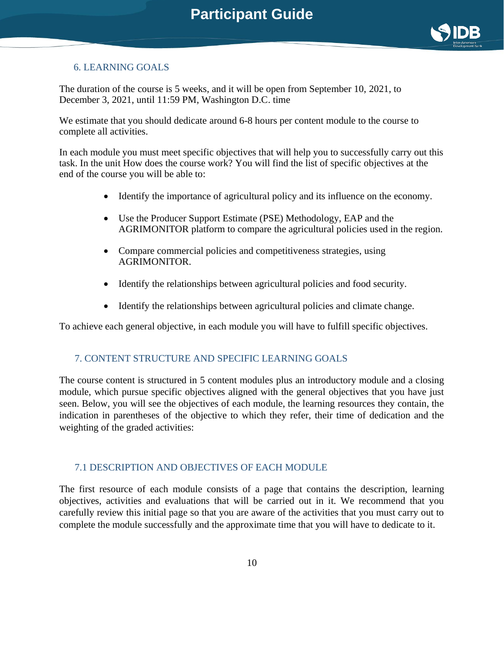

#### 6. LEARNING GOALS

The duration of the course is 5 weeks, and it will be open from September 10, 2021, to December 3, 2021, until 11:59 PM, Washington D.C. time

We estimate that you should dedicate around 6-8 hours per content module to the course to complete all activities.

In each module you must meet specific objectives that will help you to successfully carry out this task. In the unit How does the course work? You will find the list of specific objectives at the end of the course you will be able to:

- Identify the importance of agricultural policy and its influence on the economy.
- Use the Producer Support Estimate (PSE) Methodology, EAP and the AGRIMONITOR platform to compare the agricultural policies used in the region.
- Compare commercial policies and competitiveness strategies, using AGRIMONITOR.
- Identify the relationships between agricultural policies and food security.
- Identify the relationships between agricultural policies and climate change.

To achieve each general objective, in each module you will have to fulfill specific objectives.

#### <span id="page-9-0"></span>7. CONTENT STRUCTURE AND SPECIFIC LEARNING GOALS

The course content is structured in 5 content modules plus an introductory module and a closing module, which pursue specific objectives aligned with the general objectives that you have just seen. Below, you will see the objectives of each module, the learning resources they contain, the indication in parentheses of the objective to which they refer, their time of dedication and the weighting of the graded activities:

#### <span id="page-9-1"></span>7.1 DESCRIPTION AND OBJECTIVES OF EACH MODULE

The first resource of each module consists of a page that contains the description, learning objectives, activities and evaluations that will be carried out in it. We recommend that you carefully review this initial page so that you are aware of the activities that you must carry out to complete the module successfully and the approximate time that you will have to dedicate to it.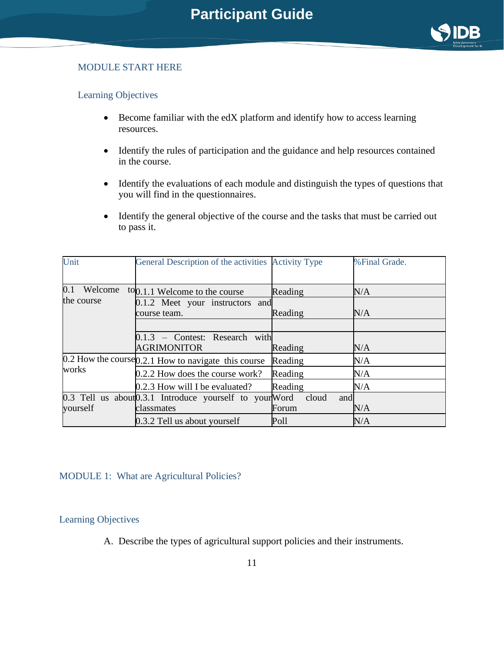

#### MODULE START HERE

#### Learning Objectives

- Become familiar with the edX platform and identify how to access learning resources.
- Identify the rules of participation and the guidance and help resources contained in the course.
- Identify the evaluations of each module and distinguish the types of questions that you will find in the questionnaires.
- Identify the general objective of the course and the tasks that must be carried out to pass it.

| Unit           | General Description of the activities Activity Type      |              | % Final Grade. |  |
|----------------|----------------------------------------------------------|--------------|----------------|--|
|                |                                                          |              |                |  |
| 0.1<br>Welcome | to <sub>0.1.1</sub> Welcome to the course                | Reading      | N/A            |  |
| the course     | 0.1.2 Meet your instructors and                          |              |                |  |
|                | course team.                                             | Reading      | N/A            |  |
|                |                                                          |              |                |  |
|                | $0.1.3$ – Contest: Research with                         |              |                |  |
|                | <b>AGRIMONITOR</b>                                       | Reading      | N/A            |  |
|                | $0.2$ How the course $0.2.1$ How to navigate this course | Reading      | N/A            |  |
| works          | 0.2.2 How does the course work?                          | Reading      | N/A            |  |
|                | 0.2.3 How will I be evaluated?                           | Reading      | N/A            |  |
|                | 0.3 Tell us about 0.3.1 Introduce yourself to your Word  | cloud<br>and |                |  |
| yourself       | classmates                                               | Forum        | N/A            |  |
|                | 0.3.2 Tell us about yourself                             | Poll         | N/A            |  |

#### MODULE 1: What are Agricultural Policies?

#### Learning Objectives

A. Describe the types of agricultural support policies and their instruments.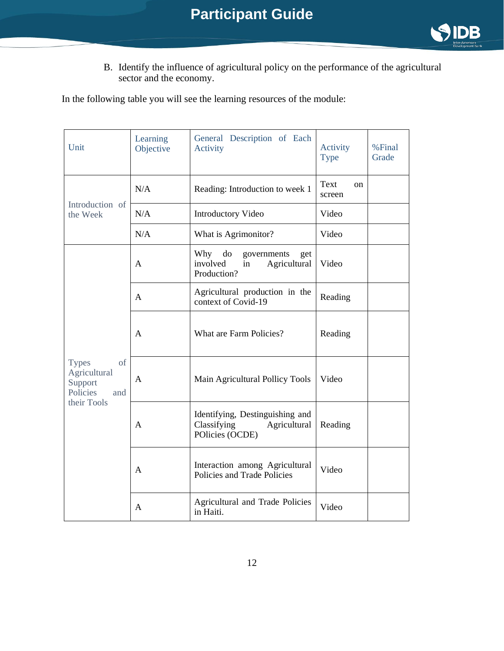

B. Identify the influence of agricultural policy on the performance of the agricultural sector and the economy.

In the following table you will see the learning resources of the module:

| Unit                                                                            | Learning<br>Objective | General Description of Each<br>Activity                                           | Activity<br><b>Type</b> | %Final<br>Grade |
|---------------------------------------------------------------------------------|-----------------------|-----------------------------------------------------------------------------------|-------------------------|-----------------|
|                                                                                 | N/A                   | Reading: Introduction to week 1                                                   | Text<br>on<br>screen    |                 |
| Introduction of<br>the Week                                                     | N/A                   | <b>Introductory Video</b>                                                         | Video                   |                 |
|                                                                                 | N/A                   | What is Agrimonitor?                                                              | Video                   |                 |
|                                                                                 | $\mathbf{A}$          | Why<br>do<br>governments<br>get<br>involved<br>Agricultural<br>in<br>Production?  | Video                   |                 |
| <b>Types</b><br>of<br>Agricultural<br>Support<br>Policies<br>and<br>their Tools | A                     | Agricultural production in the<br>context of Covid-19                             | Reading                 |                 |
|                                                                                 | A                     | What are Farm Policies?                                                           | Reading                 |                 |
|                                                                                 | A                     | Main Agricultural Pollicy Tools                                                   | Video                   |                 |
|                                                                                 | A                     | Identifying, Destinguishing and<br>Classifying<br>Agricultural<br>POlicies (OCDE) | Reading                 |                 |
|                                                                                 | A                     | Interaction among Agricultural<br>Policies and Trade Policies                     | Video                   |                 |
|                                                                                 | A                     | Agricultural and Trade Policies<br>in Haiti.                                      | Video                   |                 |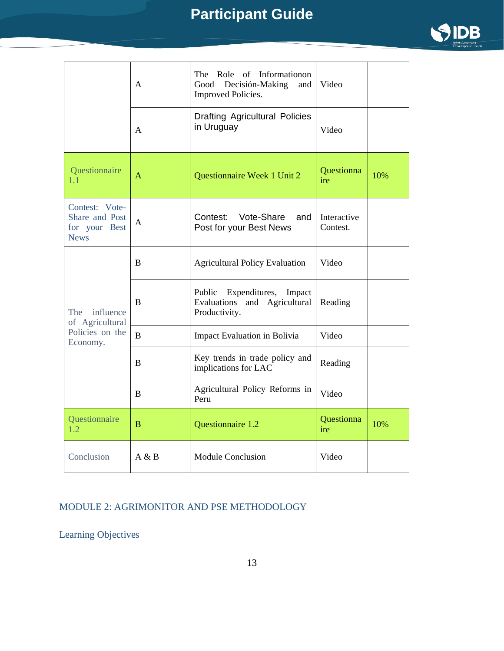

|                                                                  | A              | of Informationon<br>The<br>Role<br>Decisión-Making<br>Good<br>and<br><b>Improved Policies.</b> | Video                   |     |
|------------------------------------------------------------------|----------------|------------------------------------------------------------------------------------------------|-------------------------|-----|
|                                                                  | A              | <b>Drafting Agricultural Policies</b><br>in Uruguay                                            | Video                   |     |
| Questionnaire<br>1.1                                             | A              | Questionnaire Week 1 Unit 2                                                                    | Questionna<br>ire       | 10% |
| Contest: Vote-<br>Share and Post<br>for your Best<br><b>News</b> | A              | Vote-Share<br>Contest:<br>and<br>Post for your Best News                                       | Interactive<br>Contest. |     |
| influence<br>The<br>of Agricultural                              | B              | <b>Agricultural Policy Evaluation</b>                                                          | Video                   |     |
|                                                                  | B              | Public<br>Expenditures,<br>Impact<br>Evaluations<br>and Agricultural<br>Productivity.          | Reading                 |     |
| Policies on the<br>Economy.                                      | $\bf{B}$       | <b>Impact Evaluation in Bolivia</b>                                                            | Video                   |     |
|                                                                  | B              | Key trends in trade policy and<br>implications for LAC                                         | Reading                 |     |
|                                                                  | B              | Agricultural Policy Reforms in<br>Peru                                                         | Video                   |     |
| Questionnaire<br>1.2                                             | $\overline{B}$ | Questionnaire 1.2                                                                              | Questionna<br>ire       | 10% |
| Conclusion                                                       | A & B          | <b>Module Conclusion</b>                                                                       | Video                   |     |

#### MODULE 2: AGRIMONITOR AND PSE METHODOLOGY

Learning Objectives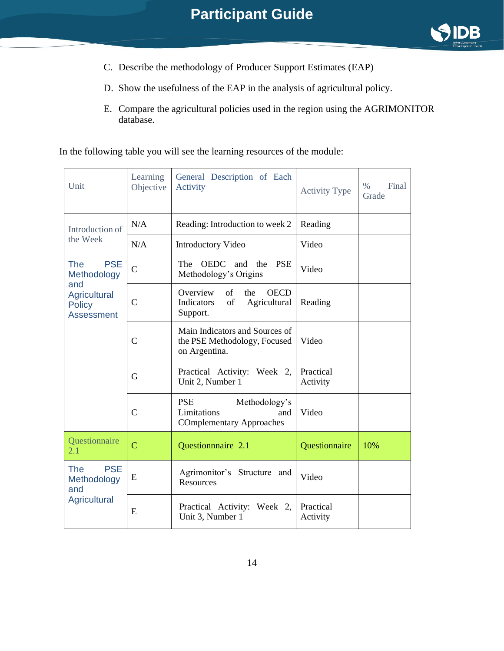

- C. Describe the methodology of Producer Support Estimates (EAP)
- D. Show the usefulness of the EAP in the analysis of agricultural policy.
- E. Compare the agricultural policies used in the region using the AGRIMONITOR database.

In the following table you will see the learning resources of the module:

| Unit                                                             | Learning<br>Objective | General Description of Each<br>Activity                                              | <b>Activity Type</b>  | $\%$<br>Final<br>Grade |
|------------------------------------------------------------------|-----------------------|--------------------------------------------------------------------------------------|-----------------------|------------------------|
| Introduction of                                                  | N/A                   | Reading: Introduction to week 2                                                      | Reading               |                        |
| the Week                                                         | N/A                   | <b>Introductory Video</b>                                                            | Video                 |                        |
| <b>PSE</b><br><b>The</b><br>Methodology                          | $\mathsf{C}$          | <b>OEDC</b><br>The<br>and<br>the<br><b>PSE</b><br>Methodology's Origins              | Video                 |                        |
| and<br><b>Agricultural</b><br><b>Policy</b><br><b>Assessment</b> | $\mathsf{C}$          | Overview<br>of<br>the<br><b>OECD</b><br>Indicators<br>of<br>Agricultural<br>Support. | Reading               |                        |
|                                                                  | $\overline{C}$        | Main Indicators and Sources of<br>the PSE Methodology, Focused<br>on Argentina.      | Video                 |                        |
|                                                                  | G                     | Practical Activity: Week 2,<br>Unit 2, Number 1                                      | Practical<br>Activity |                        |
|                                                                  | $\mathsf{C}$          | <b>PSE</b><br>Methodology's<br>Limitations<br>and<br><b>COmplementary Approaches</b> | Video                 |                        |
| Questionnaire<br>2.1                                             | $\overline{C}$        | Questionnnaire 2.1                                                                   | Questionnaire         | 10%                    |
| The<br><b>PSE</b><br>Methodology<br>and<br><b>Agricultural</b>   | E                     | Agrimonitor's Structure and<br>Resources                                             | Video                 |                        |
|                                                                  | E                     | Practical Activity: Week 2,<br>Unit 3, Number 1                                      | Practical<br>Activity |                        |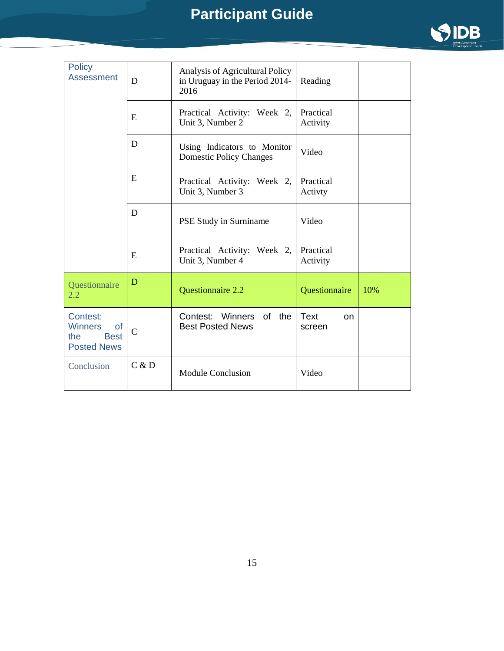

| <b>Policy</b><br><b>Assessment</b>                                                  | D            | Analysis of Agricultural Policy<br>in Uruguay in the Period 2014-<br>2016 | Reading                     |     |
|-------------------------------------------------------------------------------------|--------------|---------------------------------------------------------------------------|-----------------------------|-----|
|                                                                                     | E            | Practical Activity: Week 2,<br>Unit 3, Number 2                           | Practical<br>Activity       |     |
|                                                                                     | D            | Using Indicators to Monitor<br><b>Domestic Policy Changes</b>             | Video                       |     |
|                                                                                     | E            | Practical Activity: Week 2,<br>Unit 3, Number 3                           | Practical<br>Activty        |     |
|                                                                                     | D            | PSE Study in Surniname                                                    | Video                       |     |
|                                                                                     | E            | Practical Activity: Week 2,<br>Unit 3, Number 4                           | Practical<br>Activity       |     |
| Questionnaire<br>2.2                                                                | D            | <b>Questionnaire 2.2</b>                                                  | <b>Questionnaire</b>        | 10% |
| Contest:<br><b>Winners</b><br><b>of</b><br>the<br><b>Best</b><br><b>Posted News</b> | $\mathsf{C}$ | Contest: Winners of the<br><b>Best Posted News</b>                        | Text<br><b>on</b><br>screen |     |
| Conclusion                                                                          | C & D        | <b>Module Conclusion</b>                                                  | Video                       |     |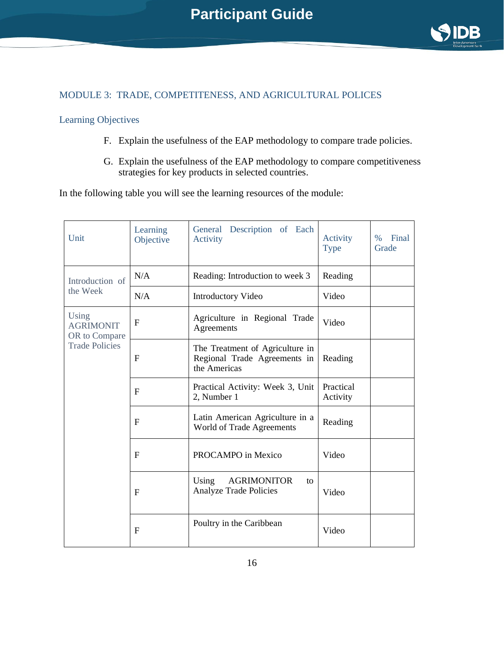

#### MODULE 3: TRADE, COMPETITENESS, AND AGRICULTURAL POLICES

#### Learning Objectives

- F. Explain the usefulness of the EAP methodology to compare trade policies.
- G. Explain the usefulness of the EAP methodology to compare competitiveness strategies for key products in selected countries.

In the following table you will see the learning resources of the module:

| Unit                                       | Learning<br>Objective | Description of Each<br>General<br>Activity                                      | Activity<br><b>Type</b> | Final<br>$\%$<br>Grade |
|--------------------------------------------|-----------------------|---------------------------------------------------------------------------------|-------------------------|------------------------|
| Introduction of                            | N/A                   | Reading: Introduction to week 3                                                 | Reading                 |                        |
| the Week                                   | N/A                   | <b>Introductory Video</b>                                                       | Video                   |                        |
| Using<br><b>AGRIMONIT</b><br>OR to Compare | $\mathbf{F}$          | Agriculture in Regional Trade<br>Agreements                                     | Video                   |                        |
| <b>Trade Policies</b>                      | F                     | The Treatment of Agriculture in<br>Regional Trade Agreements in<br>the Americas | Reading                 |                        |
|                                            | $\mathbf{F}$          | Practical Activity: Week 3, Unit<br>2, Number 1                                 | Practical<br>Activity   |                        |
|                                            | $\mathbf{F}$          | Latin American Agriculture in a<br>World of Trade Agreements                    | Reading                 |                        |
|                                            | $\mathbf{F}$          | PROCAMPO in Mexico                                                              | Video                   |                        |
|                                            | $\mathbf{F}$          | Using<br><b>AGRIMONITOR</b><br>to<br><b>Analyze Trade Policies</b>              | Video                   |                        |
|                                            | $\mathbf{F}$          | Poultry in the Caribbean                                                        | Video                   |                        |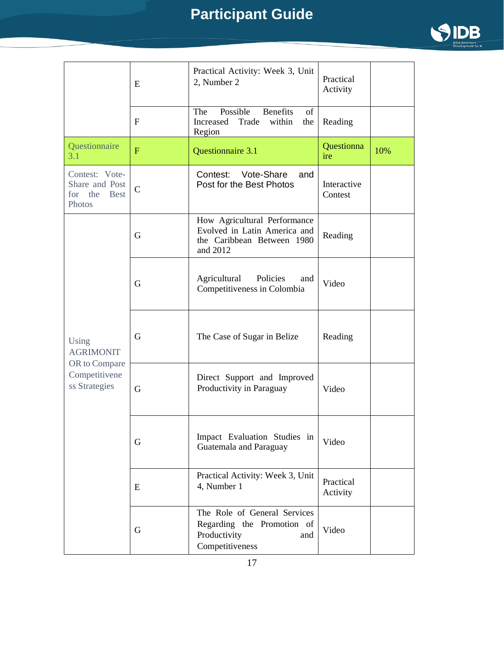

|                                                                              | E              | Practical Activity: Week 3, Unit<br>2, Number 2                                                        | Practical<br>Activity  |     |
|------------------------------------------------------------------------------|----------------|--------------------------------------------------------------------------------------------------------|------------------------|-----|
|                                                                              | $\mathbf F$    | Possible<br><b>Benefits</b><br>The<br>of<br>Increased<br>Trade<br>within<br>the<br>Region              | Reading                |     |
| Questionnaire<br>3.1                                                         | $\overline{F}$ | Questionnaire 3.1                                                                                      | Questionna<br>ire      | 10% |
| Contest: Vote-<br>Share and Post<br>for the<br><b>Best</b><br>Photos         | $\overline{C}$ | Contest: Vote-Share<br>and<br>Post for the Best Photos                                                 | Interactive<br>Contest |     |
|                                                                              | G              | How Agricultural Performance<br>Evolved in Latin America and<br>the Caribbean Between 1980<br>and 2012 | Reading                |     |
| Using<br><b>AGRIMONIT</b><br>OR to Compare<br>Competitivene<br>ss Strategies | G              | Agricultural<br>Policies<br>and<br>Competitiveness in Colombia                                         | Video                  |     |
|                                                                              | G              | The Case of Sugar in Belize                                                                            | Reading                |     |
|                                                                              | G              | Direct Support and Improved<br>Productivity in Paraguay                                                | Video                  |     |
|                                                                              | G              | Impact Evaluation Studies in<br>Guatemala and Paraguay                                                 | Video                  |     |
|                                                                              | E              | Practical Activity: Week 3, Unit<br>4, Number 1                                                        | Practical<br>Activity  |     |
|                                                                              | G              | The Role of General Services<br>Regarding the Promotion of<br>Productivity<br>and<br>Competitiveness   | Video                  |     |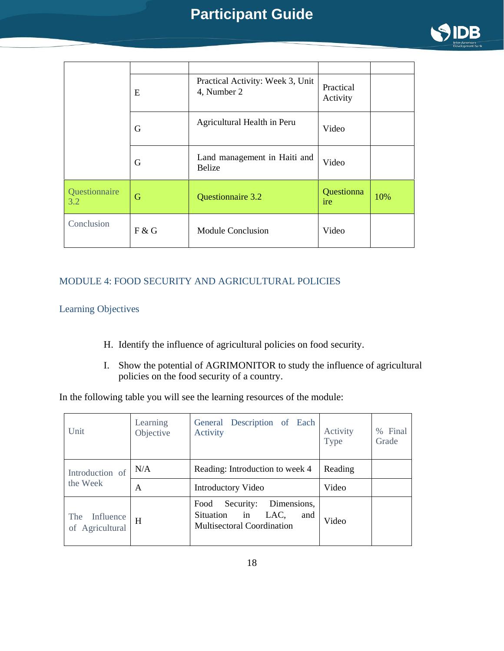

|                      | E     | Practical Activity: Week 3, Unit<br>4, Number 2 | Practical<br>Activity |     |
|----------------------|-------|-------------------------------------------------|-----------------------|-----|
|                      | G     | Agricultural Health in Peru                     | Video                 |     |
|                      | G     | Land management in Haiti and<br><b>Belize</b>   | Video                 |     |
| Questionnaire<br>3.2 | G     | Questionnaire 3.2                               | Questionna<br>ire     | 10% |
| Conclusion           | F & G | <b>Module Conclusion</b>                        | Video                 |     |

#### MODULE 4: FOOD SECURITY AND AGRICULTURAL POLICIES

#### Learning Objectives

- H. Identify the influence of agricultural policies on food security.
- I. Show the potential of AGRIMONITOR to study the influence of agricultural policies on the food security of a country.

In the following table you will see the learning resources of the module:

| Unit                                | Learning<br>Objective | General Description of Each<br>Activity                                                           | Activity<br>Type | % Final<br>Grade |
|-------------------------------------|-----------------------|---------------------------------------------------------------------------------------------------|------------------|------------------|
| Introduction of<br>the Week         | N/A                   | Reading: Introduction to week 4                                                                   | Reading          |                  |
|                                     | A                     | Introductory Video                                                                                | Video            |                  |
| Influence<br>The<br>of Agricultural | H                     | Dimensions,<br>Security:<br>Food<br>Situation in LAC,<br>and<br><b>Multisectoral Coordination</b> | Video            |                  |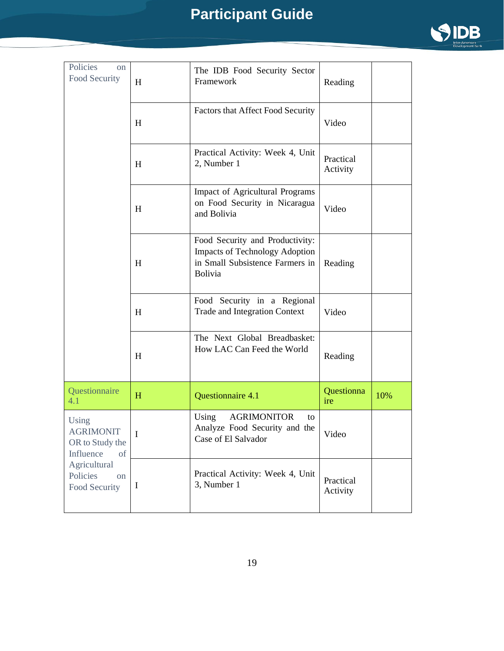

| Policies<br>on<br>Food Security                                                                                               | H           | The IDB Food Security Sector<br>Framework                                                                              | Reading               |     |
|-------------------------------------------------------------------------------------------------------------------------------|-------------|------------------------------------------------------------------------------------------------------------------------|-----------------------|-----|
|                                                                                                                               | H           | Factors that Affect Food Security                                                                                      | Video                 |     |
|                                                                                                                               | H           | Practical Activity: Week 4, Unit<br>2, Number 1                                                                        | Practical<br>Activity |     |
|                                                                                                                               | H           | <b>Impact of Agricultural Programs</b><br>on Food Security in Nicaragua<br>and Bolivia                                 | Video                 |     |
|                                                                                                                               | H           | Food Security and Productivity:<br><b>Impacts of Technology Adoption</b><br>in Small Subsistence Farmers in<br>Bolivia | Reading               |     |
|                                                                                                                               | H           | Food Security in a Regional<br><b>Trade and Integration Context</b>                                                    | Video                 |     |
|                                                                                                                               | H           | The Next Global Breadbasket:<br>How LAC Can Feed the World                                                             | Reading               |     |
| Questionnaire<br>4.1                                                                                                          | H           | Questionnaire 4.1                                                                                                      | Questionna<br>ire     | 10% |
| Using<br><b>AGRIMONIT</b><br>OR to Study the<br>Influence<br>of<br>Agricultural<br>Policies<br><sub>on</sub><br>Food Security | $\mathbf I$ | <b>AGRIMONITOR</b><br>Using<br>to<br>Analyze Food Security and the<br>Case of El Salvador                              | Video                 |     |
|                                                                                                                               | $\mathbf I$ | Practical Activity: Week 4, Unit<br>3, Number 1                                                                        | Practical<br>Activity |     |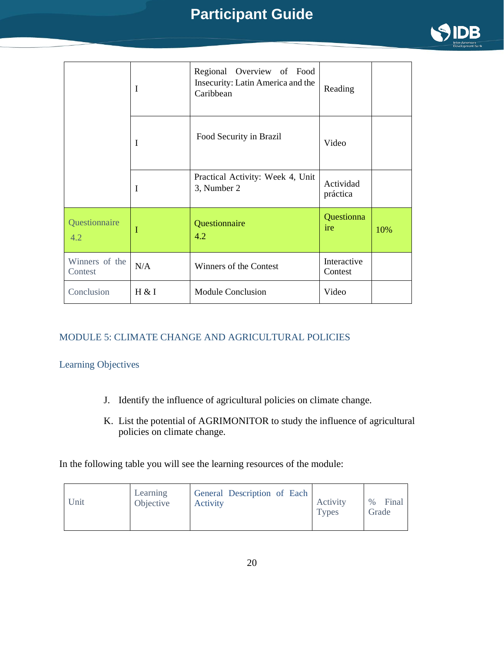

|                           | $\mathbf I$ | Regional Overview of Food<br>Insecurity: Latin America and the<br>Caribbean | Reading                |     |
|---------------------------|-------------|-----------------------------------------------------------------------------|------------------------|-----|
|                           | I           | Food Security in Brazil                                                     | Video                  |     |
|                           | I           | Practical Activity: Week 4, Unit<br>3, Number 2                             | Actividad<br>práctica  |     |
| Questionnaire<br>4.2      | I           | Questionnaire<br>4.2                                                        | Questionna<br>ire      | 10% |
| Winners of the<br>Contest | N/A         | Winners of the Contest                                                      | Interactive<br>Contest |     |
| Conclusion                | H & I       | <b>Module Conclusion</b>                                                    | Video                  |     |

#### MODULE 5: CLIMATE CHANGE AND AGRICULTURAL POLICIES

#### Learning Objectives

- J. Identify the influence of agricultural policies on climate change.
- K. List the potential of AGRIMONITOR to study the influence of agricultural policies on climate change.

In the following table you will see the learning resources of the module:

| Unit | Learning<br>Objective | General Description of Each<br>Activity | Activity<br><b>Types</b> | <b>Final</b><br>$\%$<br>Grade |
|------|-----------------------|-----------------------------------------|--------------------------|-------------------------------|
|------|-----------------------|-----------------------------------------|--------------------------|-------------------------------|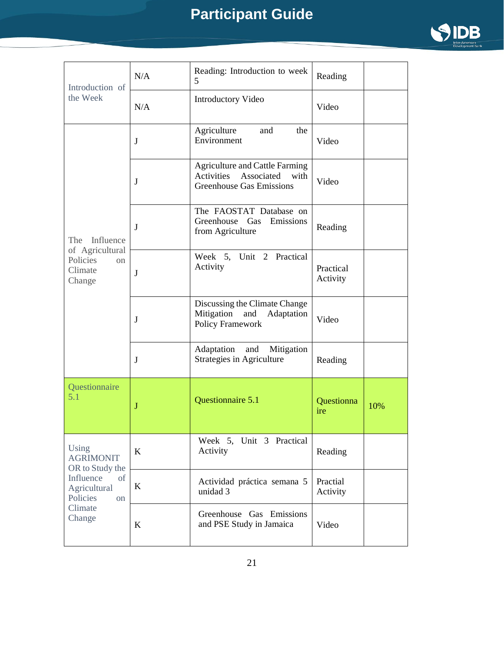

| Introduction of<br>the Week                                                                                            | N/A     | Reading: Introduction to week<br>5                                                                           | Reading                  |     |
|------------------------------------------------------------------------------------------------------------------------|---------|--------------------------------------------------------------------------------------------------------------|--------------------------|-----|
|                                                                                                                        | N/A     | Introductory Video                                                                                           | Video                    |     |
|                                                                                                                        | J       | Agriculture<br>and<br>the<br>Environment                                                                     | Video                    |     |
|                                                                                                                        | J       | <b>Agriculture and Cattle Farming</b><br>Associated<br>Activities<br>with<br><b>Greenhouse Gas Emissions</b> | Video                    |     |
| Influence<br>The                                                                                                       | J       | The FAOSTAT Database on<br>Greenhouse<br>Gas<br>Emissions<br>from Agriculture                                | Reading                  |     |
| of Agricultural<br>Policies<br>on<br>Climate<br>Change                                                                 | $\bf J$ | Week 5, Unit 2 Practical<br>Activity                                                                         | Practical<br>Activity    |     |
|                                                                                                                        | J       | Discussing the Climate Change<br>Mitigation and<br>Adaptation<br>Policy Framework                            | Video                    |     |
|                                                                                                                        | J       | Adaptation<br>Mitigation<br>and<br>Strategies in Agriculture                                                 | Reading                  |     |
| Questionnaire<br>5.1                                                                                                   | J       | Questionnaire 5.1                                                                                            | <b>Questionna</b><br>ire | 10% |
| Using<br><b>AGRIMONIT</b><br>OR to Study the<br>Influence<br>of<br>Agricultural<br>Policies<br>on<br>Climate<br>Change | $\bf K$ | Week 5, Unit 3 Practical<br>Activity                                                                         | Reading                  |     |
|                                                                                                                        | $\bf K$ | Actividad práctica semana 5<br>unidad 3                                                                      | Practial<br>Activity     |     |
|                                                                                                                        | $\bf K$ | Greenhouse Gas Emissions<br>and PSE Study in Jamaica                                                         | Video                    |     |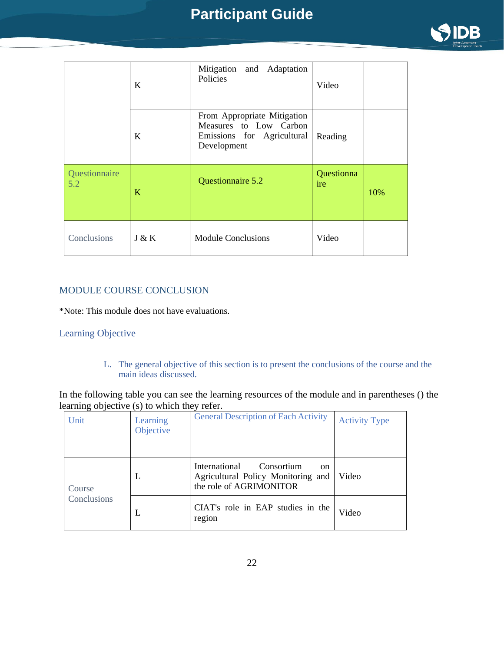

|                      | K     | Mitigation and Adaptation<br>Policies                                                                        | Video             |     |
|----------------------|-------|--------------------------------------------------------------------------------------------------------------|-------------------|-----|
|                      | K     | From Appropriate Mitigation<br>Measures to Low Carbon<br>Emissions for Agricultural   Reading<br>Development |                   |     |
| Questionnaire<br>5.2 | K     | Questionnaire 5.2                                                                                            | Questionna<br>ire | 10% |
| Conclusions          | J & K | <b>Module Conclusions</b>                                                                                    | Video             |     |

#### MODULE COURSE CONCLUSION

\*Note: This module does not have evaluations.

#### Learning Objective

L. The general objective of this section is to present the conclusions of the course and the main ideas discussed.

In the following table you can see the learning resources of the module and in parentheses () the learning objective (s) to which they refer.

| Unit                  | Learning<br>Objective | <b>General Description of Each Activity</b>                                                                   | <b>Activity Type</b> |
|-----------------------|-----------------------|---------------------------------------------------------------------------------------------------------------|----------------------|
| Course<br>Conclusions | L                     | International<br>Consortium<br><sub>on</sub><br>Agricultural Policy Monitoring and<br>the role of AGRIMONITOR | Video                |
|                       | L                     | CIAT's role in EAP studies in the<br>region                                                                   | Video                |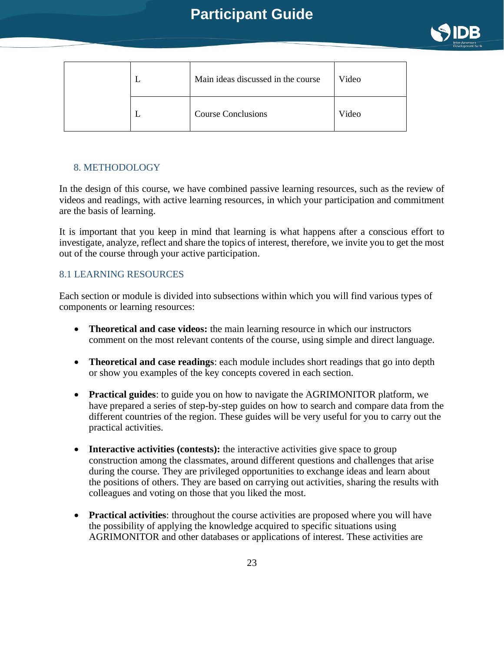

|  | Main ideas discussed in the course | Video |
|--|------------------------------------|-------|
|  | <b>Course Conclusions</b>          | Video |

#### <span id="page-22-0"></span>8. METHODOLOGY

In the design of this course, we have combined passive learning resources, such as the review of videos and readings, with active learning resources, in which your participation and commitment are the basis of learning.

It is important that you keep in mind that learning is what happens after a conscious effort to investigate, analyze, reflect and share the topics of interest, therefore, we invite you to get the most out of the course through your active participation.

#### <span id="page-22-1"></span>8.1 LEARNING RESOURCES

Each section or module is divided into subsections within which you will find various types of components or learning resources:

- **Theoretical and case videos:** the main learning resource in which our instructors comment on the most relevant contents of the course, using simple and direct language.
- **Theoretical and case readings**: each module includes short readings that go into depth or show you examples of the key concepts covered in each section.
- **Practical guides**: to guide you on how to navigate the AGRIMONITOR platform, we have prepared a series of step-by-step guides on how to search and compare data from the different countries of the region. These guides will be very useful for you to carry out the practical activities.
- **Interactive activities (contests):** the interactive activities give space to group construction among the classmates, around different questions and challenges that arise during the course. They are privileged opportunities to exchange ideas and learn about the positions of others. They are based on carrying out activities, sharing the results with colleagues and voting on those that you liked the most.
- **Practical activities**: throughout the course activities are proposed where you will have the possibility of applying the knowledge acquired to specific situations using AGRIMONITOR and other databases or applications of interest. These activities are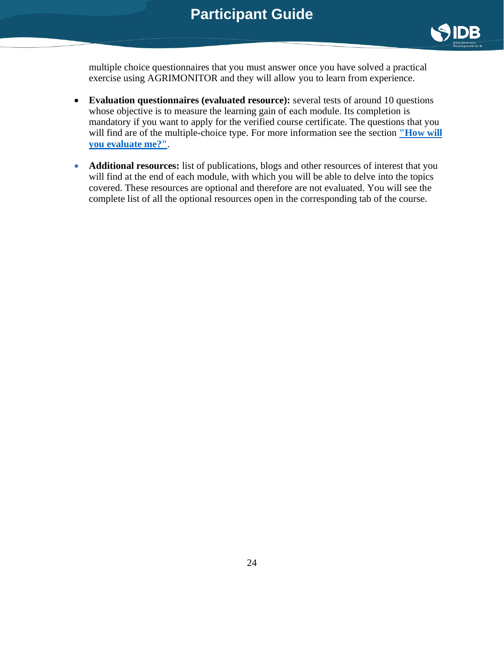

multiple choice questionnaires that you must answer once you have solved a practical exercise using AGRIMONITOR and they will allow you to learn from experience.

- **Evaluation questionnaires (evaluated resource):** several tests of around 10 questions whose objective is to measure the learning gain of each module. Its completion is mandatory if you want to apply for the verified course certificate. The questions that you will find are of the multiple-choice type. For more information see the section **"How will [you evaluate me?"](https://learning.edx.org/course/course-v1:IDBx+IDB13.1x+3T2021/block-v1:IDBx+IDB13.1x+3T2021+type@sequential+block@2575ddba6fe142c2882b18eb14308d61/block-v1:IDBx+IDB13.1x+3T2021+type@vertical+block@88cc498bc87c4493a43b1a82d95832c0)**.
- <span id="page-23-0"></span>• **Additional resources:** list of publications, blogs and other resources of interest that you will find at the end of each module, with which you will be able to delve into the topics covered. These resources are optional and therefore are not evaluated. You will see the complete list of all the optional resources open in the corresponding tab of the course.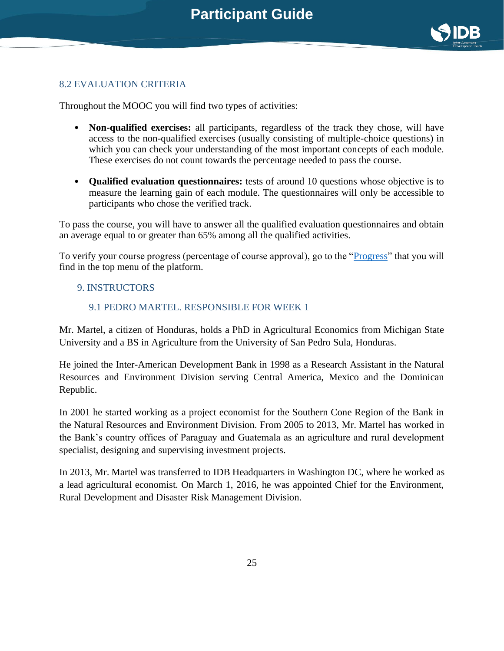

#### 8.2 EVALUATION CRITERIA

Throughout the MOOC you will find two types of activities:

- **Non-qualified exercises:** all participants, regardless of the track they chose, will have access to the non-qualified exercises (usually consisting of multiple-choice questions) in which you can check your understanding of the most important concepts of each module. These exercises do not count towards the percentage needed to pass the course.
- **Qualified evaluation questionnaires:** tests of around 10 questions whose objective is to measure the learning gain of each module. The questionnaires will only be accessible to participants who chose the verified track.

To pass the course, you will have to answer all the qualified evaluation questionnaires and obtain an average equal to or greater than 65% among all the qualified activities.

To verify your course progress (percentage of course approval), go to the ["Progress"](https://www.edx.org/edx-privacy-policy) that you will find in the top menu of the platform.

#### <span id="page-24-0"></span>9. INSTRUCTORS

#### 9.1 PEDRO MARTEL. RESPONSIBLE FOR WEEK 1

Mr. Martel, a citizen of Honduras, holds a PhD in Agricultural Economics from Michigan State University and a BS in Agriculture from the University of San Pedro Sula, Honduras.

He joined the Inter-American Development Bank in 1998 as a Research Assistant in the Natural Resources and Environment Division serving Central America, Mexico and the Dominican Republic.

In 2001 he started working as a project economist for the Southern Cone Region of the Bank in the Natural Resources and Environment Division. From 2005 to 2013, Mr. Martel has worked in the Bank's country offices of Paraguay and Guatemala as an agriculture and rural development specialist, designing and supervising investment projects.

In 2013, Mr. Martel was transferred to IDB Headquarters in Washington DC, where he worked as a lead agricultural economist. On March 1, 2016, he was appointed Chief for the Environment, Rural Development and Disaster Risk Management Division.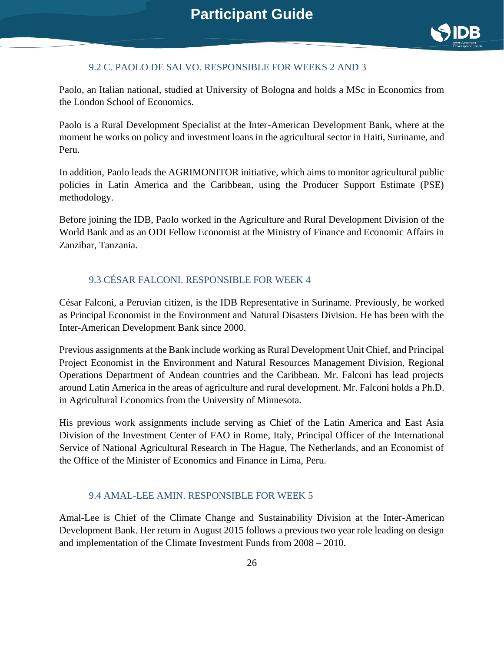

#### 9.2 C. PAOLO DE SALVO. RESPONSIBLE FOR WEEKS 2 AND 3

Paolo, an Italian national, studied at University of Bologna and holds a MSc in Economics from the London School of Economics.

Paolo is a Rural Development Specialist at the Inter-American Development Bank, where at the moment he works on policy and investment loans in the agricultural sector in Haiti, Suriname, and Peru.

In addition, Paolo leads the AGRIMONITOR initiative, which aims to monitor agricultural public policies in Latin America and the Caribbean, using the Producer Support Estimate (PSE) methodology.

Before joining the IDB, Paolo worked in the Agriculture and Rural Development Division of the World Bank and as an ODI Fellow Economist at the Ministry of Finance and Economic Affairs in Zanzibar, Tanzania.

#### 9.3 CÉSAR FALCONI. RESPONSIBLE FOR WEEK 4

César Falconi, a Peruvian citizen, is the IDB Representative in Suriname. Previously, he worked as Principal Economist in the Environment and Natural Disasters Division. He has been with the Inter-American Development Bank since 2000.

Previous assignments at the Bank include working as Rural Development Unit Chief, and Principal Project Economist in the Environment and Natural Resources Management Division, Regional Operations Department of Andean countries and the Caribbean. Mr. Falconi has lead projects around Latin America in the areas of agriculture and rural development. Mr. Falconi holds a Ph.D. in Agricultural Economics from the University of Minnesota.

His previous work assignments include serving as Chief of the Latin America and East Asia Division of the Investment Center of FAO in Rome, Italy, Principal Officer of the International Service of National Agricultural Research in The Hague, The Netherlands, and an Economist of the Office of the Minister of Economics and Finance in Lima, Peru.

#### 9.4 AMAL-LEE AMIN. RESPONSIBLE FOR WEEK 5

Amal-Lee is Chief of the Climate Change and Sustainability Division at the Inter-American Development Bank. Her return in August 2015 follows a previous two year role leading on design and implementation of the Climate Investment Funds from 2008 – 2010.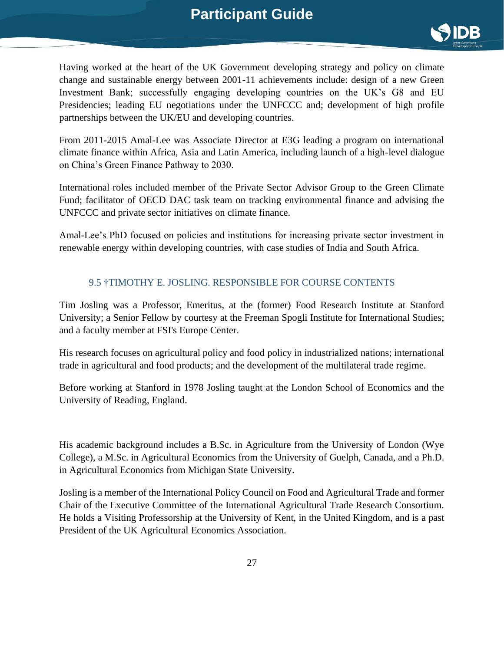

Having worked at the heart of the UK Government developing strategy and policy on climate change and sustainable energy between 2001-11 achievements include: design of a new Green Investment Bank; successfully engaging developing countries on the UK's G8 and EU Presidencies; leading EU negotiations under the UNFCCC and; development of high profile partnerships between the UK/EU and developing countries.

From 2011-2015 Amal-Lee was Associate Director at E3G leading a program on international climate finance within Africa, Asia and Latin America, including launch of a high-level dialogue on China's Green Finance Pathway to 2030.

International roles included member of the Private Sector Advisor Group to the Green Climate Fund; facilitator of OECD DAC task team on tracking environmental finance and advising the UNFCCC and private sector initiatives on climate finance.

Amal-Lee's PhD focused on policies and institutions for increasing private sector investment in renewable energy within developing countries, with case studies of India and South Africa.

#### 9.5 †TIMOTHY E. JOSLING. RESPONSIBLE FOR COURSE CONTENTS

Tim Josling was a Professor, Emeritus, at the (former) Food Research Institute at Stanford University; a Senior Fellow by courtesy at the Freeman Spogli Institute for International Studies; and a faculty member at FSI's Europe Center.

His research focuses on agricultural policy and food policy in industrialized nations; international trade in agricultural and food products; and the development of the multilateral trade regime.

Before working at Stanford in 1978 Josling taught at the London School of Economics and the University of Reading, England.

His academic background includes a B.Sc. in Agriculture from the University of London (Wye College), a M.Sc. in Agricultural Economics from the University of Guelph, Canada, and a Ph.D. in Agricultural Economics from Michigan State University.

Josling is a member of the International Policy Council on Food and Agricultural Trade and former Chair of the Executive Committee of the International Agricultural Trade Research Consortium. He holds a Visiting Professorship at the University of Kent, in the United Kingdom, and is a past President of the UK Agricultural Economics Association.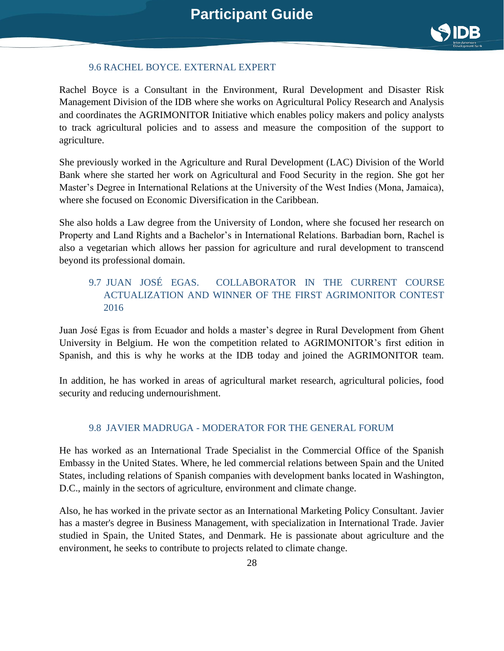

#### 9.6 RACHEL BOYCE. EXTERNAL EXPERT

Rachel Boyce is a Consultant in the Environment, Rural Development and Disaster Risk Management Division of the IDB where she works on Agricultural Policy Research and Analysis and coordinates the AGRIMONITOR Initiative which enables policy makers and policy analysts to track agricultural policies and to assess and measure the composition of the support to agriculture.

She previously worked in the Agriculture and Rural Development (LAC) Division of the World Bank where she started her work on Agricultural and Food Security in the region. She got her Master's Degree in International Relations at the University of the West Indies (Mona, Jamaica), where she focused on Economic Diversification in the Caribbean.

She also holds a Law degree from the University of London, where she focused her research on Property and Land Rights and a Bachelor's in International Relations. Barbadian born, Rachel is also a vegetarian which allows her passion for agriculture and rural development to transcend beyond its professional domain.

#### 9.7 JUAN JOSÉ EGAS. COLLABORATOR IN THE CURRENT COURSE ACTUALIZATION AND WINNER OF THE FIRST AGRIMONITOR CONTEST 2016

Juan José Egas is from Ecuador and holds a master's degree in Rural Development from Ghent University in Belgium. He won the competition related to AGRIMONITOR's first edition in Spanish, and this is why he works at the IDB today and joined the AGRIMONITOR team.

In addition, he has worked in areas of agricultural market research, agricultural policies, food security and reducing undernourishment.

#### 9.8 JAVIER MADRUGA - MODERATOR FOR THE GENERAL FORUM

He has worked as an International Trade Specialist in the Commercial Office of the Spanish Embassy in the United States. Where, he led commercial relations between Spain and the United States, including relations of Spanish companies with development banks located in Washington, D.C., mainly in the sectors of agriculture, environment and climate change.

Also, he has worked in the private sector as an International Marketing Policy Consultant. Javier has a master's degree in Business Management, with specialization in International Trade. Javier studied in Spain, the United States, and Denmark. He is passionate about agriculture and the environment, he seeks to contribute to projects related to climate change.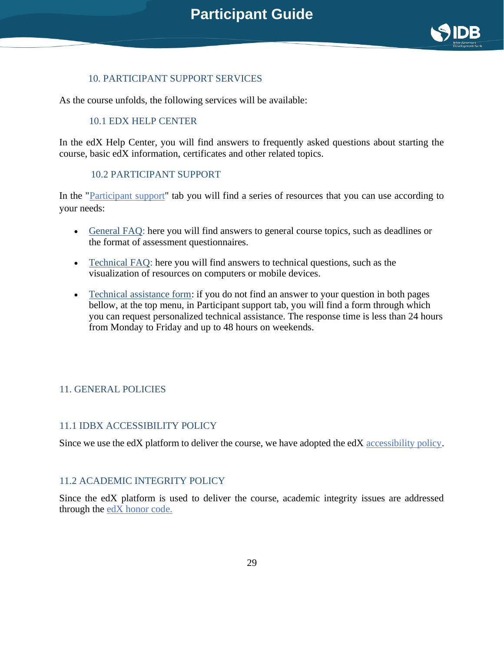<span id="page-28-1"></span>

#### 10. PARTICIPANT SUPPORT SERVICES

<span id="page-28-0"></span>As the course unfolds, the following services will be available:

#### 10.1 EDX HELP CENTER

In the edX Help Center, you will find answers to frequently asked questions about starting the course, basic edX information, certificates and other related topics.

#### <span id="page-28-2"></span>10.2 PARTICIPANT SUPPORT

In the ["Participant support](https://courses.edx.org/courses/course-v1:IDBx+IDB10-1x+1T2021/4f76d776771c4d1586bff4c5b2d517fd/)["](https://support.edx.org/hc/en-us/articles/206503858-How-do-I-verify-my-identity-) tab you will find a series of resources that you can use according to your needs:

- [General FAQ:](https://www.edx.org/edx-privacy-policy) here you will find answers to general course topics, such as deadlines or the format of assessment questionnaires.
- [Technical FAQ:](https://support.edx.org/hc/en-us/sections/115004173007-Upgrade-to-the-Verified-Track) here you will find answers to technical questions, such as the visualization of resources on computers or mobile devices.
- [Technical assistance form:](https://www.edx.org/es/course/demox-edx-demox-1-0) if you do not find an answer to your question in both pages bellow, at the top menu, in Participant support tab, you will find a form through which you can request personalized technical assistance. The response time is less than 24 hours from Monday to Friday and up to 48 hours on weekends.

#### <span id="page-28-3"></span>11. GENERAL POLICIES

#### <span id="page-28-4"></span>11.1 IDBX ACCESSIBILITY POLICY

Since we use the edX platform to deliver the course, we have adopted the edX [accessibility policy](https://courses.edx.org/asset-v1:IDBx+IDB10-1x+1T2021+type@asset+block@IDBx_Accesibility_Policy.pdf)[.](https://courses.edx.org/courses/course-v1:IDBx+IDB11.1x+1T2020/b1dcb50f6c4f4f5c93822ce12b502253/)

#### <span id="page-28-5"></span>11.2 ACADEMIC INTEGRITY POLICY

Since the edX platform is used to deliver the course, academic integrity issues are addressed through the [edX honor](https://courses.edx.org/courses/course-v1:IDBx+IDB10-1x+1T2021/47ce8fff0d6b4b2598faf2f4199daaf6/) [code.](https://courses.edx.org/asset-v1:IDBx+IDB11.1x+1T2020+type@asset+block@IDBx_Accesibility_Policy.pdf)